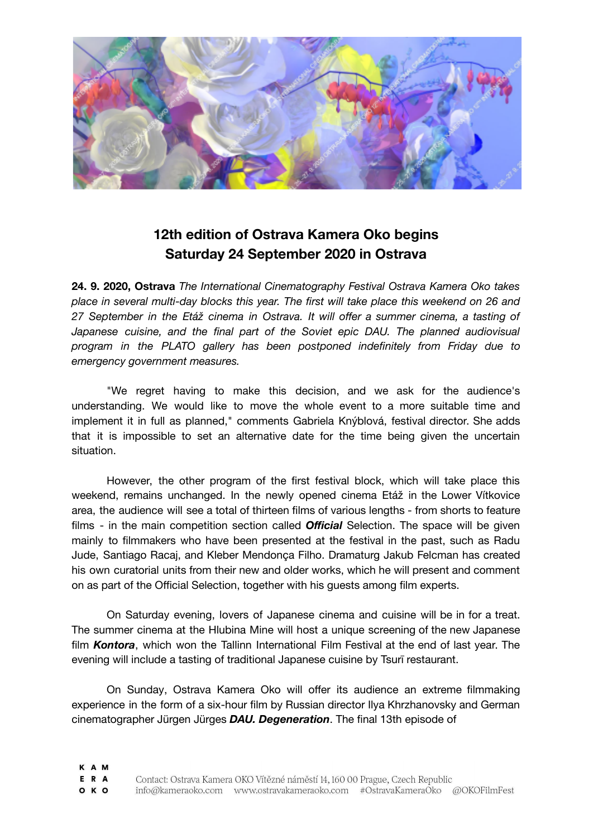

## **12th edition of Ostrava Kamera Oko begins Saturday 24 September 2020 in Ostrava**

**24. 9. 2020, Ostrava** *The International Cinematography Festival Ostrava Kamera Oko takes place in several multi-day blocks this year. The first will take place this weekend on 26 and 27 September in the Etáž cinema in Ostrava. It will offer a summer cinema, a tasting of Japanese cuisine, and the final part of the Soviet epic DAU. The planned audiovisual program in the PLATO gallery has been postponed indefinitely from Friday due to emergency government measures.*

"We regret having to make this decision, and we ask for the audience's understanding. We would like to move the whole event to a more suitable time and implement it in full as planned," comments Gabriela Knýblová, festival director. She adds that it is impossible to set an alternative date for the time being given the uncertain situation.

However, the other program of the first festival block, which will take place this weekend, remains unchanged. In the newly opened cinema Etáž in the Lower Vítkovice area, the audience will see a total of thirteen films of various lengths - from shorts to feature films - in the main competition section called *Official* Selection. The space will be given mainly to filmmakers who have been presented at the festival in the past, such as Radu Jude, Santiago Racaj, and Kleber Mendonça Filho. Dramaturg Jakub Felcman has created his own curatorial units from their new and older works, which he will present and comment on as part of the Official Selection, together with his guests among film experts.

On Saturday evening, lovers of Japanese cinema and cuisine will be in for a treat. The summer cinema at the Hlubina Mine will host a unique screening of the new Japanese film *Kontora*, which won the Tallinn International Film Festival at the end of last year. The evening will include a tasting of traditional Japanese cuisine by Tsurī restaurant.

On Sunday, Ostrava Kamera Oko will offer its audience an extreme filmmaking experience in the form of a six-hour film by Russian director Ilya Khrzhanovsky and German cinematographer Jürgen Jürges *DAU. Degeneration*. The final 13th episode of